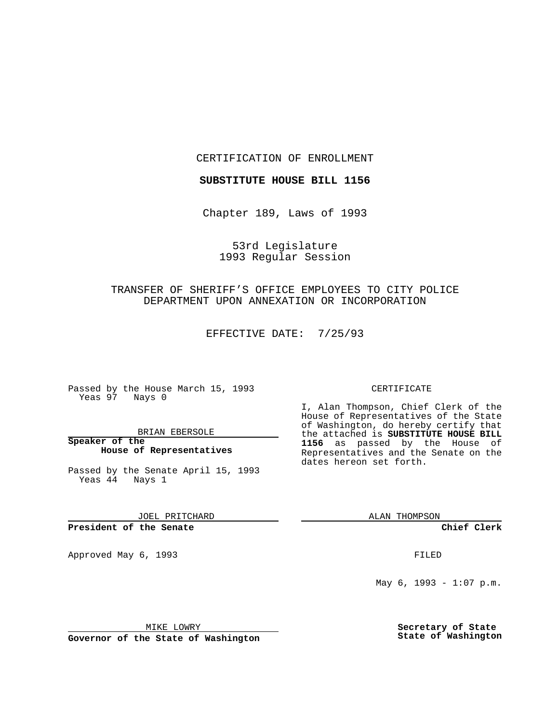CERTIFICATION OF ENROLLMENT

**SUBSTITUTE HOUSE BILL 1156**

Chapter 189, Laws of 1993

53rd Legislature 1993 Regular Session

## TRANSFER OF SHERIFF'S OFFICE EMPLOYEES TO CITY POLICE DEPARTMENT UPON ANNEXATION OR INCORPORATION

EFFECTIVE DATE: 7/25/93

Passed by the House March 15, 1993 Yeas 97 Nays 0

BRIAN EBERSOLE

**Speaker of the House of Representatives**

Passed by the Senate April 15, 1993 Yeas 44 Nays 1

JOEL PRITCHARD

**President of the Senate**

Approved May 6, 1993 **FILED** 

## CERTIFICATE

I, Alan Thompson, Chief Clerk of the House of Representatives of the State of Washington, do hereby certify that the attached is **SUBSTITUTE HOUSE BILL 1156** as passed by the House of Representatives and the Senate on the dates hereon set forth.

ALAN THOMPSON

**Chief Clerk**

May  $6, 1993 - 1:07 \text{ p.m.}$ 

MIKE LOWRY

**Governor of the State of Washington**

**Secretary of State State of Washington**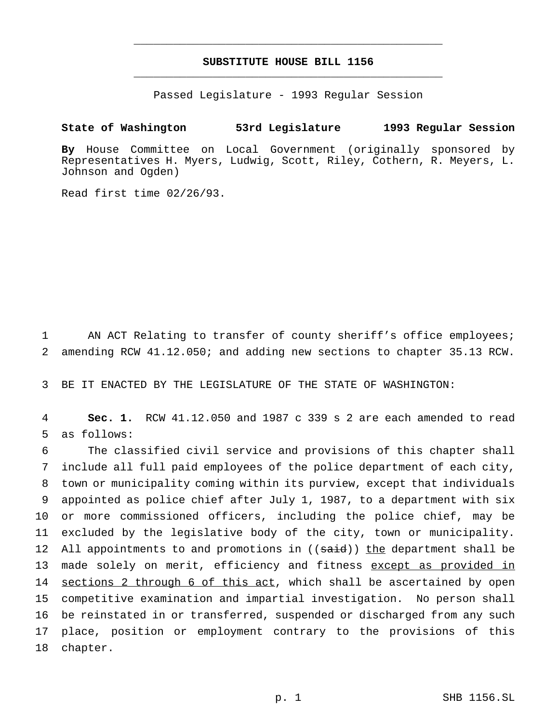## **SUBSTITUTE HOUSE BILL 1156** \_\_\_\_\_\_\_\_\_\_\_\_\_\_\_\_\_\_\_\_\_\_\_\_\_\_\_\_\_\_\_\_\_\_\_\_\_\_\_\_\_\_\_\_\_\_\_

\_\_\_\_\_\_\_\_\_\_\_\_\_\_\_\_\_\_\_\_\_\_\_\_\_\_\_\_\_\_\_\_\_\_\_\_\_\_\_\_\_\_\_\_\_\_\_

Passed Legislature - 1993 Regular Session

## **State of Washington 53rd Legislature 1993 Regular Session**

**By** House Committee on Local Government (originally sponsored by Representatives H. Myers, Ludwig, Scott, Riley, Cothern, R. Meyers, L. Johnson and Ogden)

Read first time 02/26/93.

1 AN ACT Relating to transfer of county sheriff's office employees; 2 amending RCW 41.12.050; and adding new sections to chapter 35.13 RCW.

3 BE IT ENACTED BY THE LEGISLATURE OF THE STATE OF WASHINGTON:

4 **Sec. 1.** RCW 41.12.050 and 1987 c 339 s 2 are each amended to read 5 as follows:

 The classified civil service and provisions of this chapter shall include all full paid employees of the police department of each city, town or municipality coming within its purview, except that individuals appointed as police chief after July 1, 1987, to a department with six or more commissioned officers, including the police chief, may be excluded by the legislative body of the city, town or municipality. 12 All appointments to and promotions in ((said)) the department shall be 13 made solely on merit, efficiency and fitness except as provided in 14 sections 2 through 6 of this act, which shall be ascertained by open competitive examination and impartial investigation. No person shall be reinstated in or transferred, suspended or discharged from any such place, position or employment contrary to the provisions of this 18 chapter.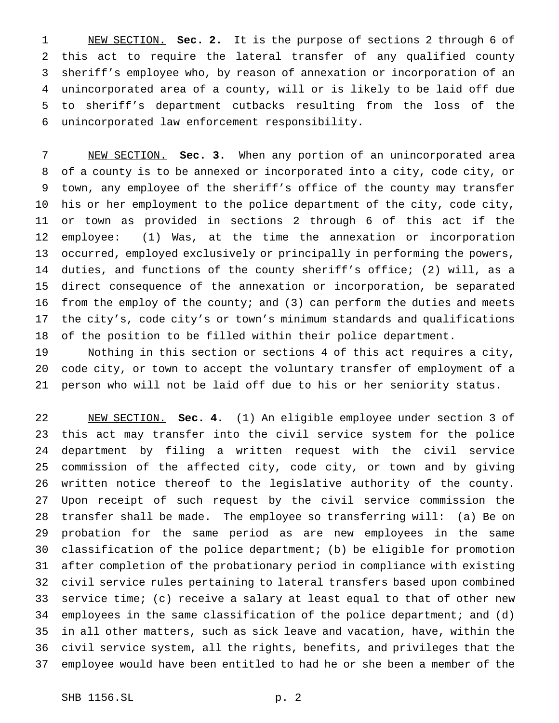NEW SECTION. **Sec. 2.** It is the purpose of sections 2 through 6 of this act to require the lateral transfer of any qualified county sheriff's employee who, by reason of annexation or incorporation of an unincorporated area of a county, will or is likely to be laid off due to sheriff's department cutbacks resulting from the loss of the unincorporated law enforcement responsibility.

 NEW SECTION. **Sec. 3.** When any portion of an unincorporated area of a county is to be annexed or incorporated into a city, code city, or town, any employee of the sheriff's office of the county may transfer his or her employment to the police department of the city, code city, or town as provided in sections 2 through 6 of this act if the employee: (1) Was, at the time the annexation or incorporation occurred, employed exclusively or principally in performing the powers, duties, and functions of the county sheriff's office; (2) will, as a direct consequence of the annexation or incorporation, be separated 16 from the employ of the county; and (3) can perform the duties and meets the city's, code city's or town's minimum standards and qualifications of the position to be filled within their police department.

 Nothing in this section or sections 4 of this act requires a city, code city, or town to accept the voluntary transfer of employment of a person who will not be laid off due to his or her seniority status.

 NEW SECTION. **Sec. 4.** (1) An eligible employee under section 3 of this act may transfer into the civil service system for the police department by filing a written request with the civil service commission of the affected city, code city, or town and by giving written notice thereof to the legislative authority of the county. Upon receipt of such request by the civil service commission the transfer shall be made. The employee so transferring will: (a) Be on probation for the same period as are new employees in the same classification of the police department; (b) be eligible for promotion after completion of the probationary period in compliance with existing civil service rules pertaining to lateral transfers based upon combined service time; (c) receive a salary at least equal to that of other new employees in the same classification of the police department; and (d) in all other matters, such as sick leave and vacation, have, within the civil service system, all the rights, benefits, and privileges that the employee would have been entitled to had he or she been a member of the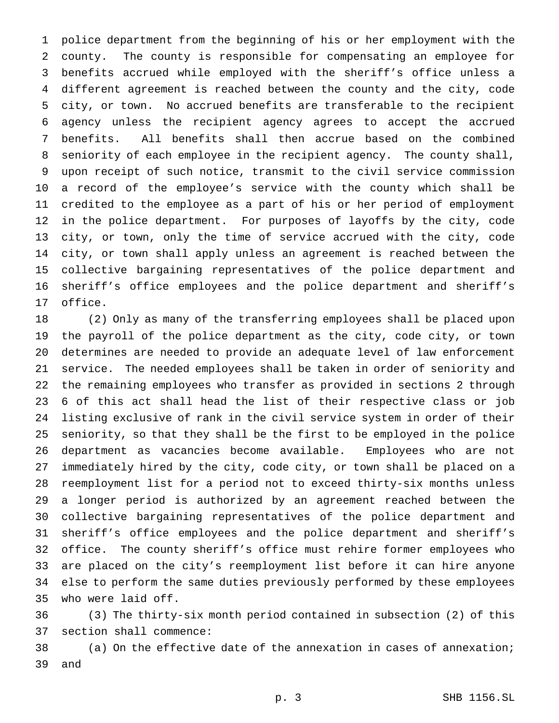police department from the beginning of his or her employment with the county. The county is responsible for compensating an employee for benefits accrued while employed with the sheriff's office unless a different agreement is reached between the county and the city, code city, or town. No accrued benefits are transferable to the recipient agency unless the recipient agency agrees to accept the accrued benefits. All benefits shall then accrue based on the combined seniority of each employee in the recipient agency. The county shall, upon receipt of such notice, transmit to the civil service commission a record of the employee's service with the county which shall be credited to the employee as a part of his or her period of employment in the police department. For purposes of layoffs by the city, code city, or town, only the time of service accrued with the city, code city, or town shall apply unless an agreement is reached between the collective bargaining representatives of the police department and sheriff's office employees and the police department and sheriff's office.

 (2) Only as many of the transferring employees shall be placed upon the payroll of the police department as the city, code city, or town determines are needed to provide an adequate level of law enforcement service. The needed employees shall be taken in order of seniority and the remaining employees who transfer as provided in sections 2 through 6 of this act shall head the list of their respective class or job listing exclusive of rank in the civil service system in order of their seniority, so that they shall be the first to be employed in the police department as vacancies become available. Employees who are not immediately hired by the city, code city, or town shall be placed on a reemployment list for a period not to exceed thirty-six months unless a longer period is authorized by an agreement reached between the collective bargaining representatives of the police department and sheriff's office employees and the police department and sheriff's office. The county sheriff's office must rehire former employees who are placed on the city's reemployment list before it can hire anyone else to perform the same duties previously performed by these employees who were laid off.

 (3) The thirty-six month period contained in subsection (2) of this section shall commence:

 (a) On the effective date of the annexation in cases of annexation; and